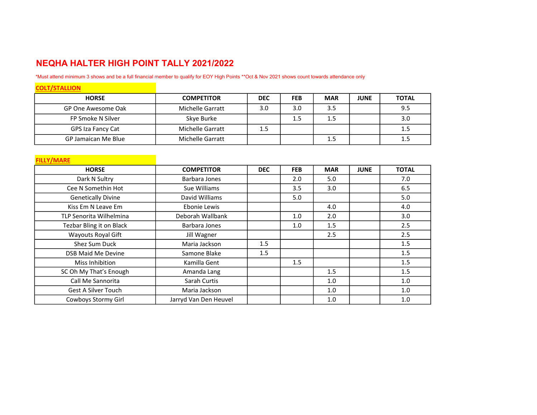## NEQHA HALTER HIGH POINT TALLY 2021/2022

\*Must attend minimum 3 shows and be a full financial member to qualify for EOY High Points \*\*Oct & Nov 2021 shows count towards attendance only

| <b>COLT/STALLION</b> |                   |            |            |            |             |              |
|----------------------|-------------------|------------|------------|------------|-------------|--------------|
| <b>HORSE</b>         | <b>COMPETITOR</b> | <b>DEC</b> | <b>FEB</b> | <b>MAR</b> | <b>JUNE</b> | <b>TOTAL</b> |
| GP One Awesome Oak   | Michelle Garratt  | 3.0        | 3.0        | 3.5        |             | 9.5          |
| FP Smoke N Silver    | Skye Burke        |            | 1.5        | 1.5        |             | 3.0          |
| GPS Iza Fancy Cat    | Michelle Garratt  | 1.5        |            |            |             | 1.5          |
| GP Jamaican Me Blue  | Michelle Garratt  |            |            | 1.5        |             | 1.5          |

| <b>FILLY/MARE</b>              |                       |            |            |            |             |              |
|--------------------------------|-----------------------|------------|------------|------------|-------------|--------------|
| <b>HORSE</b>                   | <b>COMPETITOR</b>     | <b>DEC</b> | <b>FEB</b> | <b>MAR</b> | <b>JUNE</b> | <b>TOTAL</b> |
| Dark N Sultry                  | Barbara Jones         |            | 2.0        | 5.0        |             | 7.0          |
| Cee N Somethin Hot             | Sue Williams          |            | 3.5        | 3.0        |             | 6.5          |
| <b>Genetically Divine</b>      | David Williams        |            | 5.0        |            |             | 5.0          |
| Kiss Em N Leave Em             | Ebonie Lewis          |            |            | 4.0        |             | 4.0          |
| <b>TLP Senorita Wilhelmina</b> | Deborah Wallbank      |            | 1.0        | 2.0        |             | 3.0          |
| Tezbar Bling it on Black       | Barbara Jones         |            | 1.0        | 1.5        |             | 2.5          |
| Wayouts Royal Gift             | Jill Wagner           |            |            | 2.5        |             | 2.5          |
| Shez Sum Duck                  | Maria Jackson         | 1.5        |            |            |             | 1.5          |
| <b>DSB Maid Me Devine</b>      | Samone Blake          | 1.5        |            |            |             | 1.5          |
| Miss Inhibition                | Kamilla Gent          |            | 1.5        |            |             | 1.5          |
| SC Oh My That's Enough         | Amanda Lang           |            |            | 1.5        |             | 1.5          |
| Call Me Sannorita              | Sarah Curtis          |            |            | 1.0        |             | 1.0          |
| <b>Gest A Silver Touch</b>     | Maria Jackson         |            |            | 1.0        |             | 1.0          |
| Cowboys Stormy Girl            | Jarryd Van Den Heuvel |            |            | 1.0        |             | 1.0          |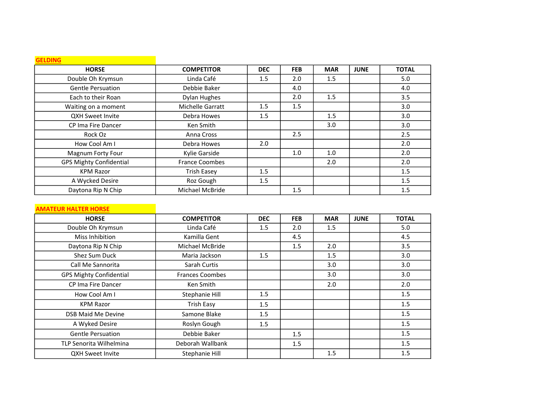| <b>GELDING</b>                 |                       |            |            |            |             |              |
|--------------------------------|-----------------------|------------|------------|------------|-------------|--------------|
| <b>HORSE</b>                   | <b>COMPETITOR</b>     | <b>DEC</b> | <b>FEB</b> | <b>MAR</b> | <b>JUNE</b> | <b>TOTAL</b> |
| Double Oh Krymsun              | Linda Café            | 1.5        | 2.0        | 1.5        |             | 5.0          |
| <b>Gentle Persuation</b>       | Debbie Baker          |            | 4.0        |            |             | 4.0          |
| Each to their Roan             | Dylan Hughes          |            | 2.0        | 1.5        |             | 3.5          |
| Waiting on a moment            | Michelle Garratt      | 1.5        | 1.5        |            |             | 3.0          |
| <b>QXH Sweet Invite</b>        | Debra Howes           | 1.5        |            | 1.5        |             | 3.0          |
| CP Ima Fire Dancer             | Ken Smith             |            |            | 3.0        |             | 3.0          |
| Rock Oz                        | Anna Cross            |            | 2.5        |            |             | 2.5          |
| How Cool Am I                  | Debra Howes           | 2.0        |            |            |             | 2.0          |
| Magnum Forty Four              | Kylie Garside         |            | 1.0        | 1.0        |             | 2.0          |
| <b>GPS Mighty Confidential</b> | <b>France Coombes</b> |            |            | 2.0        |             | 2.0          |
| <b>KPM Razor</b>               | <b>Trish Easey</b>    | 1.5        |            |            |             | 1.5          |
| A Wycked Desire                | Roz Gough             | 1.5        |            |            |             | 1.5          |
| Daytona Rip N Chip             | Michael McBride       |            | 1.5        |            |             | 1.5          |

## AMATEUR HALTER HORSE

| <b>HORSE</b>                   | <b>COMPETITOR</b>      | <b>DEC</b> | <b>FEB</b> | <b>MAR</b> | <b>JUNE</b> | <b>TOTAL</b> |
|--------------------------------|------------------------|------------|------------|------------|-------------|--------------|
| Double Oh Krymsun              | Linda Café             | 1.5        | 2.0        | 1.5        |             | 5.0          |
| Miss Inhibition                | Kamilla Gent           |            | 4.5        |            |             | 4.5          |
| Daytona Rip N Chip             | Michael McBride        |            | 1.5        | 2.0        |             | 3.5          |
| Shez Sum Duck                  | Maria Jackson          | 1.5        |            | 1.5        |             | 3.0          |
| Call Me Sannorita              | Sarah Curtis           |            |            | 3.0        |             | 3.0          |
| <b>GPS Mighty Confidential</b> | <b>Frances Coombes</b> |            |            | 3.0        |             | 3.0          |
| CP Ima Fire Dancer             | Ken Smith              |            |            | 2.0        |             | 2.0          |
| How Cool Am I                  | Stephanie Hill         | 1.5        |            |            |             | 1.5          |
| <b>KPM Razor</b>               | <b>Trish Easy</b>      | 1.5        |            |            |             | 1.5          |
| <b>DSB Maid Me Devine</b>      | Samone Blake           | 1.5        |            |            |             | 1.5          |
| A Wyked Desire                 | Roslyn Gough           | 1.5        |            |            |             | 1.5          |
| <b>Gentle Persuation</b>       | Debbie Baker           |            | 1.5        |            |             | 1.5          |
| <b>TLP Senorita Wilhelmina</b> | Deborah Wallbank       |            | 1.5        |            |             | 1.5          |
| QXH Sweet Invite               | Stephanie Hill         |            |            | 1.5        |             | 1.5          |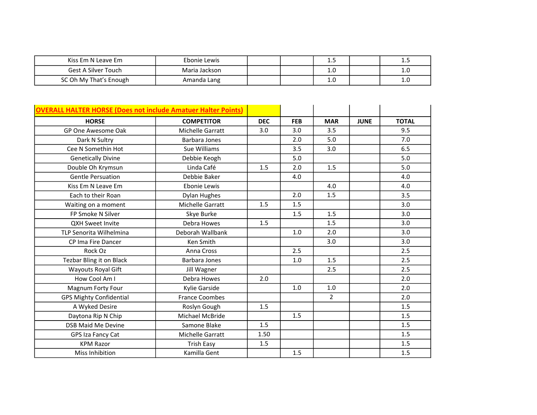| Kiss Em N Leave Em         | Ebonie Lewis  |  | --- |     |
|----------------------------|---------------|--|-----|-----|
| <b>Gest A Silver Touch</b> | Maria Jackson |  | T.N | ⊥.∪ |
| SC Oh My That's Enough     | Amanda Lang   |  | T.N | ⊥.∪ |

| <b>OVERALL HALTER HORSE (Does not include Amatuer Halter Points)</b> |                         |            |            |                |             |              |
|----------------------------------------------------------------------|-------------------------|------------|------------|----------------|-------------|--------------|
| <b>HORSE</b>                                                         | <b>COMPETITOR</b>       | <b>DEC</b> | <b>FEB</b> | <b>MAR</b>     | <b>JUNE</b> | <b>TOTAL</b> |
| GP One Awesome Oak                                                   | <b>Michelle Garratt</b> | 3.0        | 3.0        | 3.5            |             | 9.5          |
| Dark N Sultry                                                        | Barbara Jones           |            | 2.0        | 5.0            |             | 7.0          |
| Cee N Somethin Hot                                                   | Sue Williams            |            | 3.5        | 3.0            |             | 6.5          |
| <b>Genetically Divine</b>                                            | Debbie Keogh            |            | 5.0        |                |             | 5.0          |
| Double Oh Krymsun                                                    | Linda Café              | 1.5        | 2.0        | 1.5            |             | 5.0          |
| <b>Gentle Persuation</b>                                             | Debbie Baker            |            | 4.0        |                |             | 4.0          |
| Kiss Em N Leave Em                                                   | Ebonie Lewis            |            |            | 4.0            |             | 4.0          |
| Each to their Roan                                                   | <b>Dylan Hughes</b>     |            | 2.0        | 1.5            |             | 3.5          |
| Waiting on a moment                                                  | Michelle Garratt        | 1.5        | 1.5        |                |             | 3.0          |
| FP Smoke N Silver                                                    | Skye Burke              |            | 1.5        | 1.5            |             | 3.0          |
| <b>QXH Sweet Invite</b>                                              | Debra Howes             | 1.5        |            | 1.5            |             | 3.0          |
| TLP Senorita Wilhelmina                                              | Deborah Wallbank        |            | 1.0        | 2.0            |             | 3.0          |
| CP Ima Fire Dancer                                                   | Ken Smith               |            |            | 3.0            |             | 3.0          |
| Rock Oz                                                              | Anna Cross              |            | 2.5        |                |             | 2.5          |
| Tezbar Bling it on Black                                             | Barbara Jones           |            | 1.0        | 1.5            |             | 2.5          |
| Wayouts Royal Gift                                                   | Jill Wagner             |            |            | 2.5            |             | 2.5          |
| How Cool Am I                                                        | Debra Howes             | 2.0        |            |                |             | 2.0          |
| Magnum Forty Four                                                    | Kylie Garside           |            | 1.0        | 1.0            |             | 2.0          |
| <b>GPS Mighty Confidential</b>                                       | <b>France Coombes</b>   |            |            | $\overline{2}$ |             | 2.0          |
| A Wyked Desire                                                       | Roslyn Gough            | 1.5        |            |                |             | 1.5          |
| Daytona Rip N Chip                                                   | Michael McBride         |            | 1.5        |                |             | 1.5          |
| <b>DSB Maid Me Devine</b>                                            | Samone Blake            | 1.5        |            |                |             | 1.5          |
| GPS Iza Fancy Cat                                                    | Michelle Garratt        | 1.50       |            |                |             | 1.5          |
| <b>KPM Razor</b>                                                     | <b>Trish Easy</b>       | 1.5        |            |                |             | 1.5          |
| Miss Inhibition                                                      | Kamilla Gent            |            | 1.5        |                |             | 1.5          |